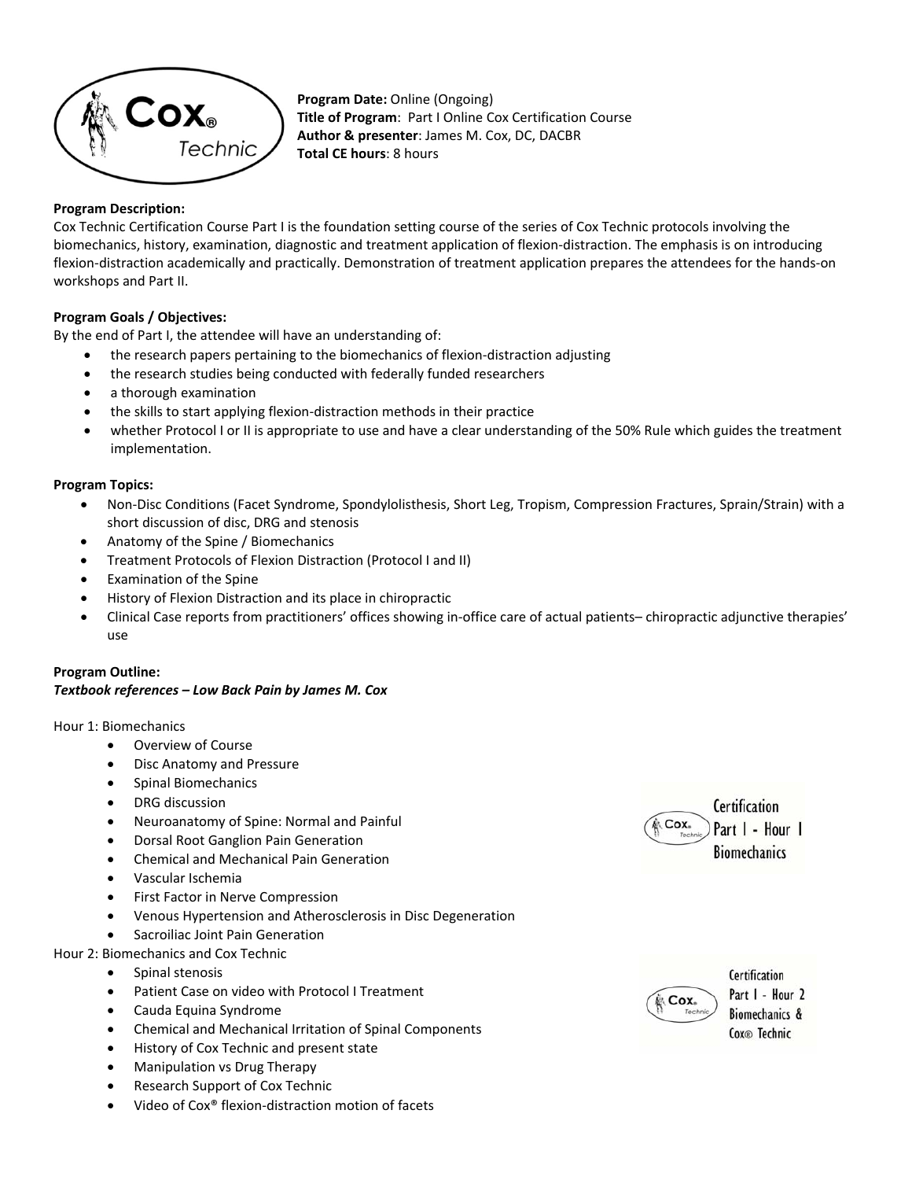

**Program Date:** Online (Ongoing) **Title of Program**: Part I Online Cox Certification Course **Author & presenter**: James M. Cox, DC, DACBR **Total CE hours**: 8 hours

## **Program Description:**

Cox Technic Certification Course Part I is the foundation setting course of the series of Cox Technic protocols involving the biomechanics, history, examination, diagnostic and treatment application of flexion‐distraction. The emphasis is on introducing flexion-distraction academically and practically. Demonstration of treatment application prepares the attendees for the hands-on workshops and Part II.

# **Program Goals / Objectives:**

By the end of Part I, the attendee will have an understanding of:

- the research papers pertaining to the biomechanics of flexion‐distraction adjusting
- the research studies being conducted with federally funded researchers
- a thorough examination
- the skills to start applying flexion‐distraction methods in their practice
- whether Protocol I or II is appropriate to use and have a clear understanding of the 50% Rule which guides the treatment implementation.

### **Program Topics:**

- Non‐Disc Conditions (Facet Syndrome, Spondylolisthesis, Short Leg, Tropism, Compression Fractures, Sprain/Strain) with a short discussion of disc, DRG and stenosis
- Anatomy of the Spine / Biomechanics
- Treatment Protocols of Flexion Distraction (Protocol I and II)
- Examination of the Spine
- History of Flexion Distraction and its place in chiropractic
- Clinical Case reports from practitioners' offices showing in‐office care of actual patients– chiropractic adjunctive therapies' use

#### **Program Outline:**  *Textbook references – Low Back Pain by James M. Cox*

### Hour 1: Biomechanics

- Overview of Course
- Disc Anatomy and Pressure
- Spinal Biomechanics
- DRG discussion
- Neuroanatomy of Spine: Normal and Painful
- Dorsal Root Ganglion Pain Generation
- Chemical and Mechanical Pain Generation
- Vascular Ischemia
- First Factor in Nerve Compression
- Venous Hypertension and Atherosclerosis in Disc Degeneration
- Sacroiliac Joint Pain Generation
- Hour 2: Biomechanics and Cox Technic
	- Spinal stenosis
	- Patient Case on video with Protocol I Treatment
	- Cauda Equina Syndrome
	- Chemical and Mechanical Irritation of Spinal Components
	- History of Cox Technic and present state
	- Manipulation vs Drug Therapy
	- Research Support of Cox Technic
	- Video of Cox® flexion‐distraction motion of facets





Certification Part I - Hour 2 Biomechanics & Cox<sup>®</sup> Technic